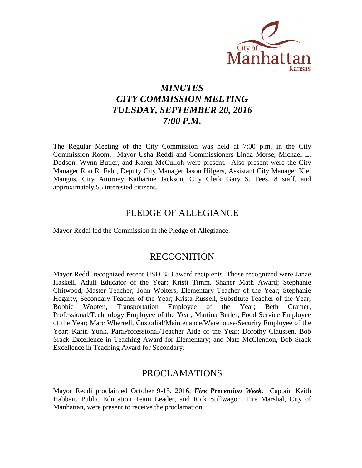

# *MINUTES CITY COMMISSION MEETING TUESDAY, SEPTEMBER 20, 2016 7:00 P.M.*

The Regular Meeting of the City Commission was held at 7:00 p.m. in the City Commission Room. Mayor Usha Reddi and Commissioners Linda Morse, Michael L. Dodson, Wynn Butler, and Karen McCulloh were present. Also present were the City Manager Ron R. Fehr, Deputy City Manager Jason Hilgers, Assistant City Manager Kiel Mangus, City Attorney Katharine Jackson, City Clerk Gary S. Fees, 8 staff, and approximately 55 interested citizens.

# PLEDGE OF ALLEGIANCE

Mayor Reddi led the Commission in the Pledge of Allegiance.

# RECOGNITION

Mayor Reddi recognized recent USD 383 award recipients. Those recognized were Janae Haskell, Adult Educator of the Year; Kristi Timm, Shaner Math Award; Stephanie Chitwood, Master Teacher; John Wolters, Elementary Teacher of the Year; Stephanie Hegarty, Secondary Teacher of the Year; Krista Russell, Substitute Teacher of the Year; Bobbie Wooten, Transportation Employee of the Year; Beth Cramer, Professional/Technology Employee of the Year; Martina Butler, Food Service Employee of the Year; Marc Wherrell, Custodial/Maintenance/Warehouse/Security Employee of the Year; Karin Yunk, ParaProfessional/Teacher Aide of the Year; Dorothy Claussen, Bob Srack Excellence in Teaching Award for Elementary; and Nate McClendon, Bob Srack Excellence in Teaching Award for Secondary.

# PROCLAMATIONS

Mayor Reddi proclaimed October 9-15, 2016, *Fire Prevention Week*. Captain Keith Habbart, Public Education Team Leader, and Rick Stillwagon, Fire Marshal, City of Manhattan, were present to receive the proclamation.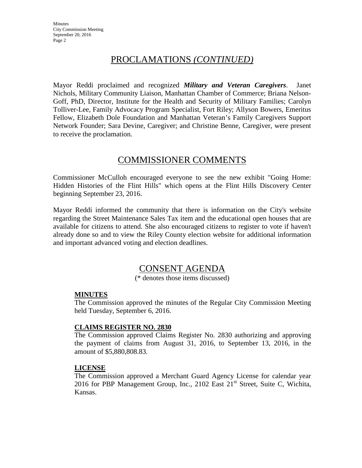# PROCLAMATIONS *(CONTINUED)*

Mayor Reddi proclaimed and recognized *Military and Veteran Caregivers*. Janet Nichols, Military Community Liaison, Manhattan Chamber of Commerce; Briana Nelson-Goff, PhD, Director, Institute for the Health and Security of Military Families; Carolyn Tolliver-Lee, Family Advocacy Program Specialist, Fort Riley; Allyson Bowers, Emeritus Fellow, Elizabeth Dole Foundation and Manhattan Veteran's Family Caregivers Support Network Founder; Sara Devine, Caregiver; and Christine Benne, Caregiver, were present to receive the proclamation.

# COMMISSIONER COMMENTS

Commissioner McCulloh encouraged everyone to see the new exhibit "Going Home: Hidden Histories of the Flint Hills" which opens at the Flint Hills Discovery Center beginning September 23, 2016.

Mayor Reddi informed the community that there is information on the City's website regarding the Street Maintenance Sales Tax item and the educational open houses that are available for citizens to attend. She also encouraged citizens to register to vote if haven't already done so and to view the Riley County election website for additional information and important advanced voting and election deadlines.

# CONSENT AGENDA

(\* denotes those items discussed)

# **MINUTES**

The Commission approved the minutes of the Regular City Commission Meeting held Tuesday, September 6, 2016.

# **CLAIMS REGISTER NO. 2830**

The Commission approved Claims Register No. 2830 authorizing and approving the payment of claims from August 31, 2016, to September 13, 2016, in the amount of \$5,880,808.83.

### **LICENSE**

The Commission approved a Merchant Guard Agency License for calendar year 2016 for PBP Management Group, Inc., 2102 East  $21<sup>st</sup>$  Street, Suite C, Wichita, Kansas.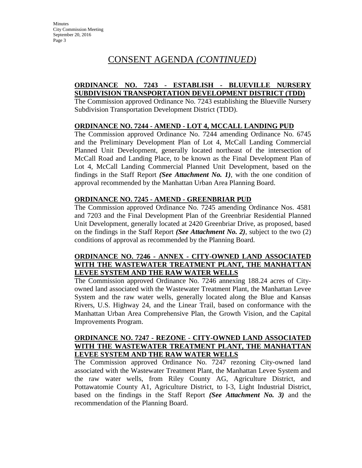# **ORDINANCE NO. 7243 - ESTABLISH - BLUEVILLE NURSERY SUBDIVISION TRANSPORTATION DEVELOPMENT DISTRICT (TDD)**

The Commission approved Ordinance No. 7243 establishing the Blueville Nursery Subdivision Transportation Development District (TDD).

## **ORDINANCE NO. 7244 - AMEND - LOT 4, MCCALL LANDING PUD**

The Commission approved Ordinance No. 7244 amending Ordinance No. 6745 and the Preliminary Development Plan of Lot 4, McCall Landing Commercial Planned Unit Development, generally located northeast of the intersection of McCall Road and Landing Place, to be known as the Final Development Plan of Lot 4, McCall Landing Commercial Planned Unit Development, based on the findings in the Staff Report *(See Attachment No. 1)*, with the one condition of approval recommended by the Manhattan Urban Area Planning Board.

## **ORDINANCE NO. 7245 - AMEND - GREENBRIAR PUD**

The Commission approved Ordinance No. 7245 amending Ordinance Nos. 4581 and 7203 and the Final Development Plan of the Greenbriar Residential Planned Unit Development, generally located at 2420 Greenbriar Drive, as proposed, based on the findings in the Staff Report *(See Attachment No. 2)*, subject to the two (2) conditions of approval as recommended by the Planning Board.

# **ORDINANCE NO. 7246 - ANNEX - CITY-OWNED LAND ASSOCIATED WITH THE WASTEWATER TREATMENT PLANT, THE MANHATTAN LEVEE SYSTEM AND THE RAW WATER WELLS**

The Commission approved Ordinance No. 7246 annexing 188.24 acres of Cityowned land associated with the Wastewater Treatment Plant, the Manhattan Levee System and the raw water wells, generally located along the Blue and Kansas Rivers, U.S. Highway 24, and the Linear Trail, based on conformance with the Manhattan Urban Area Comprehensive Plan, the Growth Vision, and the Capital Improvements Program.

## **ORDINANCE NO. 7247 - REZONE** - **CITY-OWNED LAND ASSOCIATED WITH THE WASTEWATER TREATMENT PLANT, THE MANHATTAN LEVEE SYSTEM AND THE RAW WATER WELLS**

The Commission approved Ordinance No. 7247 rezoning City-owned land associated with the Wastewater Treatment Plant, the Manhattan Levee System and the raw water wells, from Riley County AG, Agriculture District, and Pottawatomie County A1, Agriculture District, to I-3, Light Industrial District, based on the findings in the Staff Report *(See Attachment No. 3)* and the recommendation of the Planning Board.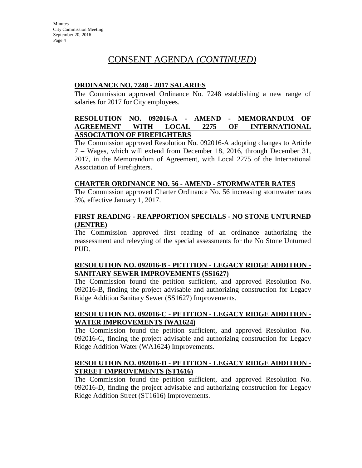## **ORDINANCE NO. 7248 - 2017 SALARIES**

The Commission approved Ordinance No. 7248 establishing a new range of salaries for 2017 for City employees.

## **RESOLUTION NO. 092016-A - AMEND - MEMORANDUM OF AGREEMENT WITH LOCAL 2275 OF INTERNATIONAL ASSOCIATION OF FIREFIGHTERS**

The Commission approved Resolution No. 092016-A adopting changes to Article 7 – Wages, which will extend from December 18, 2016, through December 31, 2017, in the Memorandum of Agreement, with Local 2275 of the International Association of Firefighters.

## **CHARTER ORDINANCE NO. 56 - AMEND - STORMWATER RATES**

The Commission approved Charter Ordinance No. 56 increasing stormwater rates 3%, effective January 1, 2017.

## **FIRST READING - REAPPORTION SPECIALS - NO STONE UNTURNED (JENTRE)**

The Commission approved first reading of an ordinance authorizing the reassessment and relevying of the special assessments for the No Stone Unturned PUD.

## **RESOLUTION NO. 092016-B - PETITION - LEGACY RIDGE ADDITION - SANITARY SEWER IMPROVEMENTS (SS1627)**

The Commission found the petition sufficient, and approved Resolution No. 092016-B, finding the project advisable and authorizing construction for Legacy Ridge Addition Sanitary Sewer (SS1627) Improvements.

# **RESOLUTION NO. 092016-C - PETITION - LEGACY RIDGE ADDITION - WATER IMPROVEMENTS (WA1624)**

The Commission found the petition sufficient, and approved Resolution No. 092016-C, finding the project advisable and authorizing construction for Legacy Ridge Addition Water (WA1624) Improvements.

### **RESOLUTION NO. 092016-D - PETITION - LEGACY RIDGE ADDITION - STREET IMPROVEMENTS (ST1616)**

The Commission found the petition sufficient, and approved Resolution No. 092016-D, finding the project advisable and authorizing construction for Legacy Ridge Addition Street (ST1616) Improvements.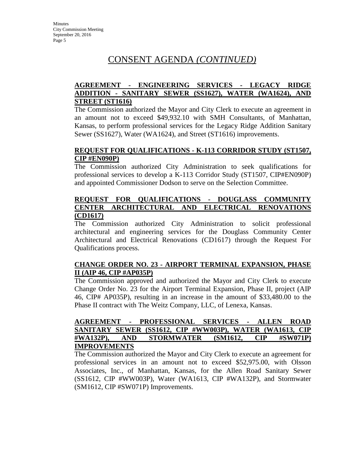# **AGREEMENT - ENGINEERING SERVICES - LEGACY RIDGE ADDITION - SANITARY SEWER (SS1627), WATER (WA1624), AND STREET (ST1616)**

The Commission authorized the Mayor and City Clerk to execute an agreement in an amount not to exceed \$49,932.10 with SMH Consultants, of Manhattan, Kansas, to perform professional services for the Legacy Ridge Addition Sanitary Sewer (SS1627), Water (WA1624), and Street (ST1616) improvements.

## **REQUEST FOR QUALIFICATIONS - K-113 CORRIDOR STUDY (ST1507, CIP #EN090P)**

The Commission authorized City Administration to seek qualifications for professional services to develop a K-113 Corridor Study (ST1507, CIP#EN090P) and appointed Commissioner Dodson to serve on the Selection Committee.

# **REQUEST FOR QUALIFICATIONS - DOUGLASS COMMUNITY CENTER ARCHITECTURAL AND ELECTRICAL RENOVATIONS (CD1617)**

The Commission authorized City Administration to solicit professional architectural and engineering services for the Douglass Community Center Architectural and Electrical Renovations (CD1617) through the Request For Qualifications process.

# **CHANGE ORDER NO. 23 - AIRPORT TERMINAL EXPANSION, PHASE II (AIP 46, CIP #AP035P)**

The Commission approved and authorized the Mayor and City Clerk to execute Change Order No. 23 for the Airport Terminal Expansion, Phase II, project (AIP 46, CIP# AP035P), resulting in an increase in the amount of \$33,480.00 to the Phase II contract with The Weitz Company, LLC, of Lenexa, Kansas.

# **AGREEMENT - PROFESSIONAL SERVICES - ALLEN ROAD SANITARY SEWER (SS1612, CIP #WW003P), WATER (WA1613, CIP #WA132P), AND STORMWATER (SM1612, CIP #SW071P) IMPROVEMENTS**

The Commission authorized the Mayor and City Clerk to execute an agreement for professional services in an amount not to exceed \$52,975.00, with Olsson Associates, Inc., of Manhattan, Kansas, for the Allen Road Sanitary Sewer (SS1612, CIP #WW003P), Water (WA1613, CIP #WA132P), and Stormwater (SM1612, CIP #SW071P) Improvements.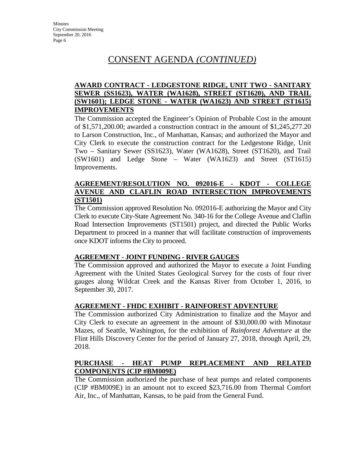## **AWARD CONTRACT - LEDGESTONE RIDGE, UNIT TWO - SANITARY SEWER (SS1623), WATER (WA1628), STREET (ST1620), AND TRAIL (SW1601); LEDGE STONE - WATER (WA1623) AND STREET (ST1615) IMPROVEMENTS**

The Commission accepted the Engineer's Opinion of Probable Cost in the amount of \$1,571,200.00; awarded a construction contract in the amount of \$1,245,277.20 to Larson Construction, Inc., of Manhattan, Kansas; and authorized the Mayor and City Clerk to execute the construction contract for the Ledgestone Ridge, Unit Two – Sanitary Sewer (SS1623), Water (WA1628), Street (ST1620), and Trail (SW1601) and Ledge Stone – Water (WA1623) and Street (ST1615) Improvements.

### **AGREEMENT/RESOLUTION NO. 092016-E - KDOT - COLLEGE AVENUE AND CLAFLIN ROAD INTERSECTION IMPROVEMENTS (ST1501)**

The Commission approved Resolution No. 092016-E authorizing the Mayor and City Clerk to execute City-State Agreement No. 340-16 for the College Avenue and Claflin Road Intersection Improvements (ST1501) project, and directed the Public Works Department to proceed in a manner that will facilitate construction of improvements once KDOT informs the City to proceed.

### **AGREEMENT - JOINT FUNDING - RIVER GAUGES**

The Commission approved and authorized the Mayor to execute a Joint Funding Agreement with the United States Geological Survey for the costs of four river gauges along Wildcat Creek and the Kansas River from October 1, 2016, to September 30, 2017.

### **AGREEMENT - FHDC EXHIBIT - RAINFOREST ADVENTURE**

The Commission authorized City Administration to finalize and the Mayor and City Clerk to execute an agreement in the amount of \$30,000.00 with Minotaur Mazes, of Seattle, Washington, for the exhibition of *Rainforest Adventure* at the Flint Hills Discovery Center for the period of January 27, 2018, through April, 29, 2018.

# **PURCHASE - HEAT PUMP REPLACEMENT AND RELATED COMPONENTS (CIP #BM009E)**

The Commission authorized the purchase of heat pumps and related components (CIP #BM009E) in an amount not to exceed \$23,716.00 from Thermal Comfort Air, Inc., of Manhattan, Kansas, to be paid from the General Fund.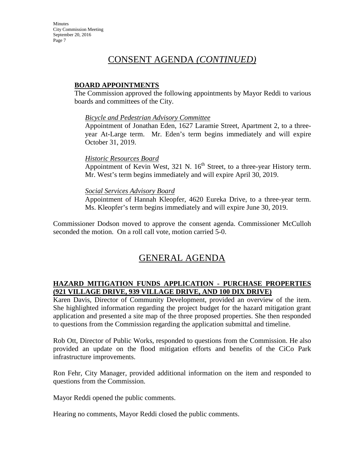## **BOARD APPOINTMENTS**

The Commission approved the following appointments by Mayor Reddi to various boards and committees of the City.

### *Bicycle and Pedestrian Advisory Committee*

Appointment of Jonathan Eden, 1627 Laramie Street, Apartment 2, to a threeyear At-Large term. Mr. Eden's term begins immediately and will expire October 31, 2019.

### *Historic Resources Board*

Appointment of Kevin West,  $321$  N.  $16<sup>th</sup>$  Street, to a three-year History term. Mr. West's term begins immediately and will expire April 30, 2019.

### *Social Services Advisory Board*

Appointment of Hannah Kleopfer, 4620 Eureka Drive, to a three-year term. Ms. Kleopfer's term begins immediately and will expire June 30, 2019.

Commissioner Dodson moved to approve the consent agenda. Commissioner McCulloh seconded the motion. On a roll call vote, motion carried 5-0.

# GENERAL AGENDA

## **HAZARD MITIGATION FUNDS APPLICATION - PURCHASE PROPERTIES (921 VILLAGE DRIVE, 939 VILLAGE DRIVE, AND 100 DIX DRIVE)**

Karen Davis, Director of Community Development, provided an overview of the item. She highlighted information regarding the project budget for the hazard mitigation grant application and presented a site map of the three proposed properties. She then responded to questions from the Commission regarding the application submittal and timeline.

Rob Ott, Director of Public Works, responded to questions from the Commission. He also provided an update on the flood mitigation efforts and benefits of the CiCo Park infrastructure improvements.

Ron Fehr, City Manager, provided additional information on the item and responded to questions from the Commission.

Mayor Reddi opened the public comments.

Hearing no comments, Mayor Reddi closed the public comments.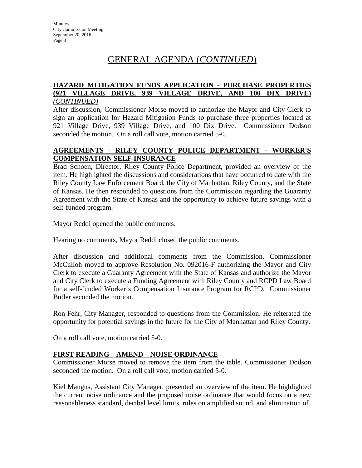# GENERAL AGENDA (*CONTINUED*)

### **HAZARD MITIGATION FUNDS APPLICATION - PURCHASE PROPERTIES (921 VILLAGE DRIVE, 939 VILLAGE DRIVE, AND 100 DIX DRIVE)**  *(CONTINUED)*

After discussion, Commissioner Morse moved to authorize the Mayor and City Clerk to sign an application for Hazard Mitigation Funds to purchase three properties located at 921 Village Drive, 939 Village Drive, and 100 Dix Drive. Commissioner Dodson seconded the motion. On a roll call vote, motion carried 5-0.

## **AGREEMENTS - RILEY COUNTY POLICE DEPARTMENT - WORKER'S COMPENSATION SELF-INSURANCE**

Brad Schoen, Director, Riley County Police Department, provided an overview of the item. He highlighted the discussions and considerations that have occurred to date with the Riley County Law Enforcement Board, the City of Manhattan, Riley County, and the State of Kansas. He then responded to questions from the Commission regarding the Guaranty Agreement with the State of Kansas and the opportunity to achieve future savings with a self-funded program.

Mayor Reddi opened the public comments.

Hearing no comments, Mayor Reddi closed the public comments.

After discussion and additional comments from the Commission, Commissioner McCulloh moved to approve Resolution No. 092016-F authorizing the Mayor and City Clerk to execute a Guaranty Agreement with the State of Kansas and authorize the Mayor and City Clerk to execute a Funding Agreement with Riley County and RCPD Law Board for a self-funded Worker's Compensation Insurance Program for RCPD. Commissioner Butler seconded the motion.

Ron Fehr, City Manager, responded to questions from the Commission. He reiterated the opportunity for potential savings in the future for the City of Manhattan and Riley County.

On a roll call vote, motion carried 5-0.

# **FIRST READING – AMEND – NOISE ORDINANCE**

Commissioner Morse moved to remove the item from the table. Commissioner Dodson seconded the motion. On a roll call vote, motion carried 5-0.

Kiel Mangus, Assistant City Manager, presented an overview of the item. He highlighted the current noise ordinance and the proposed noise ordinance that would focus on a new reasonableness standard, decibel level limits, rules on amplified sound, and elimination of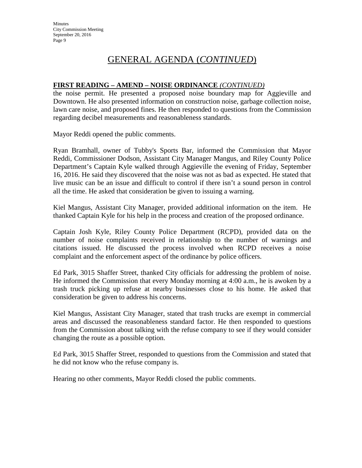# GENERAL AGENDA (*CONTINUED*)

# **FIRST READING – AMEND – NOISE ORDINANCE** *(CONTINUED)*

the noise permit. He presented a proposed noise boundary map for Aggieville and Downtown. He also presented information on construction noise, garbage collection noise, lawn care noise, and proposed fines. He then responded to questions from the Commission regarding decibel measurements and reasonableness standards.

Mayor Reddi opened the public comments.

Ryan Bramhall, owner of Tubby's Sports Bar, informed the Commission that Mayor Reddi, Commissioner Dodson, Assistant City Manager Mangus, and Riley County Police Department's Captain Kyle walked through Aggieville the evening of Friday, September 16, 2016. He said they discovered that the noise was not as bad as expected. He stated that live music can be an issue and difficult to control if there isn't a sound person in control all the time. He asked that consideration be given to issuing a warning.

Kiel Mangus, Assistant City Manager, provided additional information on the item. He thanked Captain Kyle for his help in the process and creation of the proposed ordinance.

Captain Josh Kyle, Riley County Police Department (RCPD), provided data on the number of noise complaints received in relationship to the number of warnings and citations issued. He discussed the process involved when RCPD receives a noise complaint and the enforcement aspect of the ordinance by police officers.

Ed Park, 3015 Shaffer Street, thanked City officials for addressing the problem of noise. He informed the Commission that every Monday morning at 4:00 a.m., he is awoken by a trash truck picking up refuse at nearby businesses close to his home. He asked that consideration be given to address his concerns.

Kiel Mangus, Assistant City Manager, stated that trash trucks are exempt in commercial areas and discussed the reasonableness standard factor. He then responded to questions from the Commission about talking with the refuse company to see if they would consider changing the route as a possible option.

Ed Park, 3015 Shaffer Street, responded to questions from the Commission and stated that he did not know who the refuse company is.

Hearing no other comments, Mayor Reddi closed the public comments.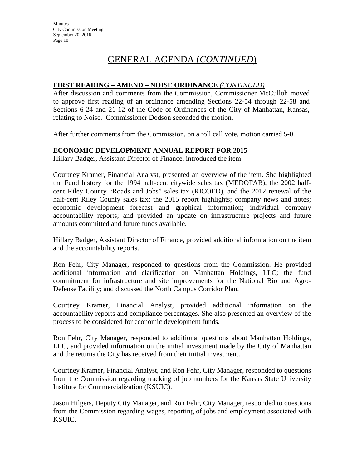# GENERAL AGENDA (*CONTINUED*)

# **FIRST READING – AMEND – NOISE ORDINANCE** *(CONTINUED)*

After discussion and comments from the Commission, Commissioner McCulloh moved to approve first reading of an ordinance amending Sections 22-54 through 22-58 and Sections 6-24 and 21-12 of the Code of Ordinances of the City of Manhattan, Kansas, relating to Noise. Commissioner Dodson seconded the motion.

After further comments from the Commission, on a roll call vote, motion carried 5-0.

# **ECONOMIC DEVELOPMENT ANNUAL REPORT FOR 2015**

Hillary Badger, Assistant Director of Finance, introduced the item.

Courtney Kramer, Financial Analyst, presented an overview of the item. She highlighted the Fund history for the 1994 half-cent citywide sales tax (MEDOFAB), the 2002 halfcent Riley County "Roads and Jobs" sales tax (RICOED), and the 2012 renewal of the half-cent Riley County sales tax; the 2015 report highlights; company news and notes; economic development forecast and graphical information; individual company accountability reports; and provided an update on infrastructure projects and future amounts committed and future funds available.

Hillary Badger, Assistant Director of Finance, provided additional information on the item and the accountability reports.

Ron Fehr, City Manager, responded to questions from the Commission. He provided additional information and clarification on Manhattan Holdings, LLC; the fund commitment for infrastructure and site improvements for the National Bio and Agro-Defense Facility; and discussed the North Campus Corridor Plan.

Courtney Kramer, Financial Analyst, provided additional information on the accountability reports and compliance percentages. She also presented an overview of the process to be considered for economic development funds.

Ron Fehr, City Manager, responded to additional questions about Manhattan Holdings, LLC, and provided information on the initial investment made by the City of Manhattan and the returns the City has received from their initial investment.

Courtney Kramer, Financial Analyst, and Ron Fehr, City Manager, responded to questions from the Commission regarding tracking of job numbers for the Kansas State University Institute for Commercialization (KSUIC).

Jason Hilgers, Deputy City Manager, and Ron Fehr, City Manager, responded to questions from the Commission regarding wages, reporting of jobs and employment associated with KSUIC.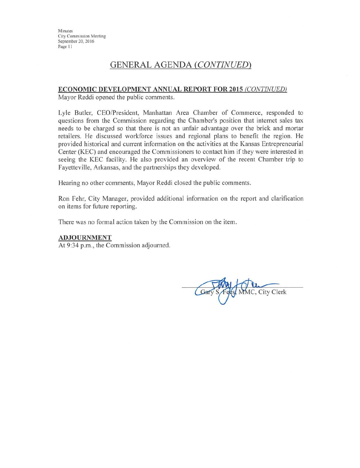Minutes **City Commission Meeting** September 20, 2016 Page 11

# **GENERAL AGENDA (CONTINUED)**

#### ECONOMIC DEVELOPMENT ANNUAL REPORT FOR 2015 (CONTINUED)

Mayor Reddi opened the public comments.

Lyle Butler, CEO/President, Manhattan Area Chamber of Commerce, responded to questions from the Commission regarding the Chamber's position that internet sales tax needs to be charged so that there is not an unfair advantage over the brick and mortar retailers. He discussed workforce issues and regional plans to benefit the region. He provided historical and current information on the activities at the Kansas Entrepreneurial Center (KEC) and encouraged the Commissioners to contact him if they were interested in seeing the KEC facility. He also provided an overview of the recent Chamber trip to Fayetteville, Arkansas, and the partnerships they developed.

Hearing no other comments, Mayor Reddi closed the public comments.

Ron Fehr, City Manager, provided additional information on the report and clarification on items for future reporting.

There was no formal action taken by the Commission on the item.

#### **ADJOURNMENT**

At 9:34 p.m., the Commission adjourned.

**IC**, City Clerk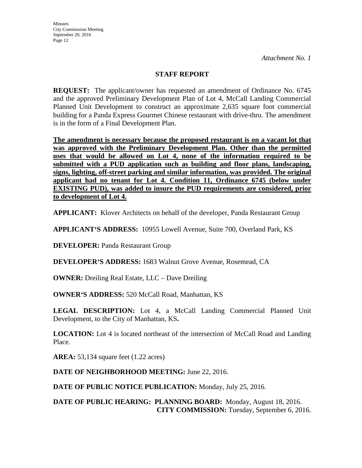**Minutes** City Commission Meeting September 20, 2016 Page 12

*Attachment No. 1*

## **STAFF REPORT**

**REQUEST:** The applicant/owner has requested an amendment of Ordinance No. 6745 and the approved Preliminary Development Plan of Lot 4, McCall Landing Commercial Planned Unit Development to construct an approximate 2,635 square foot commercial building for a Panda Express Gourmet Chinese restaurant with drive-thru. The amendment is in the form of a Final Development Plan.

**The amendment is necessary because the proposed restaurant is on a vacant lot that was approved with the Preliminary Development Plan. Other than the permitted uses that would be allowed on Lot 4, none of the information required to be submitted with a PUD application such as building and floor plans, landscaping, signs, lighting, off-street parking and similar information, was provided. The original applicant had no tenant for Lot 4. Condition 11, Ordinance 6745 (below under EXISTING PUD), was added to insure the PUD requirements are considered, prior to development of Lot 4.**

**APPLICANT:** Klover Architects on behalf of the developer, Panda Restaurant Group

**APPLICANT'S ADDRESS:** 10955 Lowell Avenue, Suite 700, Overland Park, KS

**DEVELOPER: Panda Restaurant Group** 

**DEVELOPER'S ADDRESS:** 1683 Walnut Grove Avenue, Rosemead, CA

**OWNER:** Dreiling Real Estate, LLC – Dave Dreiling

**OWNER'S ADDRESS:** 520 McCall Road, Manhattan, KS

LEGAL DESCRIPTION: Lot 4, a McCall Landing Commercial Planned Unit Development, to the City of Manhattan, KS**.** 

**LOCATION:** Lot 4 is located northeast of the intersection of McCall Road and Landing Place.

**AREA:** 53,134 square feet (1.22 acres)

**DATE OF NEIGHBORHOOD MEETING:** June 22, 2016.

**DATE OF PUBLIC NOTICE PUBLICATION:** Monday, July 25, 2016.

**DATE OF PUBLIC HEARING: PLANNING BOARD:** Monday, August 18, 2016. **CITY COMMISSION:** Tuesday, September 6, 2016.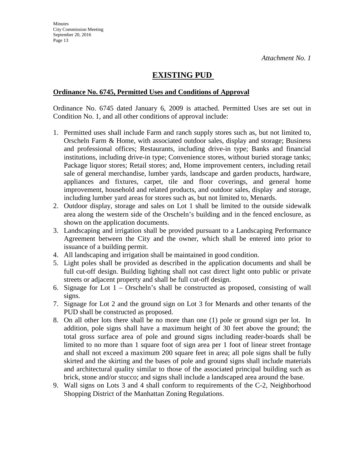# **EXISTING PUD**

## **Ordinance No. 6745, Permitted Uses and Conditions of Approval**

Ordinance No. 6745 dated January 6, 2009 is attached. Permitted Uses are set out in Condition No. 1, and all other conditions of approval include:

- 1. Permitted uses shall include Farm and ranch supply stores such as, but not limited to, Orscheln Farm & Home, with associated outdoor sales, display and storage; Business and professional offices; Restaurants, including drive-in type; Banks and financial institutions, including drive-in type; Convenience stores, without buried storage tanks; Package liquor stores; Retail stores; and, Home improvement centers, including retail sale of general merchandise, lumber yards, landscape and garden products, hardware, appliances and fixtures, carpet, tile and floor coverings, and general home improvement, household and related products, and outdoor sales, display and storage, including lumber yard areas for stores such as, but not limited to, Menards.
- 2. Outdoor display, storage and sales on Lot 1 shall be limited to the outside sidewalk area along the western side of the Orscheln's building and in the fenced enclosure, as shown on the application documents.
- 3. Landscaping and irrigation shall be provided pursuant to a Landscaping Performance Agreement between the City and the owner, which shall be entered into prior to issuance of a building permit.
- 4. All landscaping and irrigation shall be maintained in good condition.
- 5. Light poles shall be provided as described in the application documents and shall be full cut-off design. Building lighting shall not cast direct light onto public or private streets or adjacent property and shall be full cut-off design.
- 6. Signage for Lot 1 Orscheln's shall be constructed as proposed, consisting of wall signs.
- 7. Signage for Lot 2 and the ground sign on Lot 3 for Menards and other tenants of the PUD shall be constructed as proposed.
- 8. On all other lots there shall be no more than one (1) pole or ground sign per lot. In addition, pole signs shall have a maximum height of 30 feet above the ground; the total gross surface area of pole and ground signs including reader-boards shall be limited to no more than 1 square foot of sign area per 1 foot of linear street frontage and shall not exceed a maximum 200 square feet in area; all pole signs shall be fully skirted and the skirting and the bases of pole and ground signs shall include materials and architectural quality similar to those of the associated principal building such as brick, stone and/or stucco; and signs shall include a landscaped area around the base.
- 9. Wall signs on Lots 3 and 4 shall conform to requirements of the C-2, Neighborhood Shopping District of the Manhattan Zoning Regulations.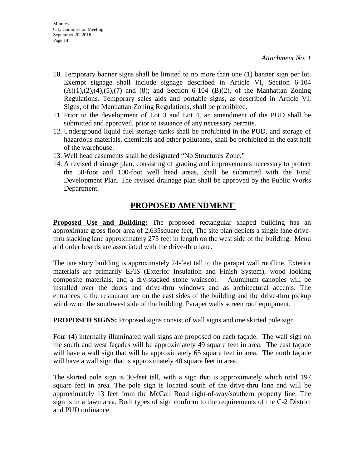- 10. Temporary banner signs shall be limited to no more than one (1) banner sign per lot. Exempt signage shall include signage described in Article VI, Section 6-104  $(A)(1), (2), (4), (5), (7)$  and  $(8)$ ; and Section 6-104  $(B)(2)$ , of the Manhattan Zoning Regulations. Temporary sales aids and portable signs, as described in Article VI, Signs, of the Manhattan Zoning Regulations, shall be prohibited.
- 11. Prior to the development of Lot 3 and Lot 4, an amendment of the PUD shall be submitted and approved, prior to issuance of any necessary permits.
- 12. Underground liquid fuel storage tanks shall be prohibited in the PUD, and storage of hazardous materials, chemicals and other pollutants, shall be prohibited in the east half of the warehouse.
- 13. Well head easements shall be designated "No Structures Zone."
- 14. A revised drainage plan, consisting of grading and improvements necessary to protect the 50-foot and 100-foot well head areas, shall be submitted with the Final Development Plan. The revised drainage plan shall be approved by the Public Works Department.

# **PROPOSED AMENDMENT**

**Proposed Use and Building:** The proposed rectangular shaped building has an approximate gross floor area of 2,635square feet, The site plan depicts a single lane drivethru stacking lane approximately 275 feet in length on the west side of the building. Menu and order boards are associated with the drive-thru lane.

The one story building is approximately 24-feet tall to the parapet wall roofline. Exterior materials are primarily EFIS (Exterior Insulation and Finish System), wood looking composite materials, and a dry-stacked stone wainscot. Aluminum canopies will be installed over the doors and drive-thru windows and as architectural accents. The entrances to the restaurant are on the east sides of the building and the drive-thru pickup window on the southwest side of the building. Parapet walls screen roof equipment.

**PROPOSED SIGNS:** Proposed signs consist of wall signs and one skirted pole sign.

Four (4) internally illuminated wall signs are proposed on each façade. The wall sign on the south and west façades will be approximately 49 square feet in area. The east façade will have a wall sign that will be approximately 65 square feet in area. The north façade will have a wall sign that is approximately 40 square feet in area.

The skirted pole sign is 30-feet tall, with a sign that is approximately which total 197 square feet in area. The pole sign is located south of the drive-thru lane and will be approximately 13 feet from the McCall Road right-of-way/southern property line. The sign is in a lawn area. Both types of sign conform to the requirements of the C-2 District and PUD ordinance.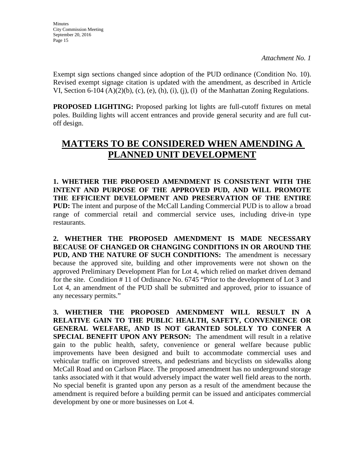Exempt sign sections changed since adoption of the PUD ordinance (Condition No. 10). Revised exempt signage citation is updated with the amendment, as described in Article VI, Section 6-104 (A)(2)(b), (c), (e), (h), (i), (j), (l) of the Manhattan Zoning Regulations.

**PROPOSED LIGHTING:** Proposed parking lot lights are full-cutoff fixtures on metal poles. Building lights will accent entrances and provide general security and are full cutoff design.

# **MATTERS TO BE CONSIDERED WHEN AMENDING A PLANNED UNIT DEVELOPMENT**

**1. WHETHER THE PROPOSED AMENDMENT IS CONSISTENT WITH THE INTENT AND PURPOSE OF THE APPROVED PUD, AND WILL PROMOTE THE EFFICIENT DEVELOPMENT AND PRESERVATION OF THE ENTIRE PUD:** The intent and purpose of the McCall Landing Commercial PUD is to allow a broad range of commercial retail and commercial service uses, including drive-in type restaurants.

**2. WHETHER THE PROPOSED AMENDMENT IS MADE NECESSARY BECAUSE OF CHANGED OR CHANGING CONDITIONS IN OR AROUND THE PUD, AND THE NATURE OF SUCH CONDITIONS:** The amendment is necessary because the approved site, building and other improvements were not shown on the approved Preliminary Development Plan for Lot 4, which relied on market driven demand for the site. Condition # 11 of Ordinance No. 6745 "Prior to the development of Lot 3 and Lot 4, an amendment of the PUD shall be submitted and approved, prior to issuance of any necessary permits."

**3. WHETHER THE PROPOSED AMENDMENT WILL RESULT IN A RELATIVE GAIN TO THE PUBLIC HEALTH, SAFETY, CONVENIENCE OR GENERAL WELFARE, AND IS NOT GRANTED SOLELY TO CONFER A SPECIAL BENEFIT UPON ANY PERSON:** The amendment will result in a relative gain to the public health, safety, convenience or general welfare because public improvements have been designed and built to accommodate commercial uses and vehicular traffic on improved streets, and pedestrians and bicyclists on sidewalks along McCall Road and on Carlson Place. The proposed amendment has no underground storage tanks associated with it that would adversely impact the water well field areas to the north. No special benefit is granted upon any person as a result of the amendment because the amendment is required before a building permit can be issued and anticipates commercial development by one or more businesses on Lot 4.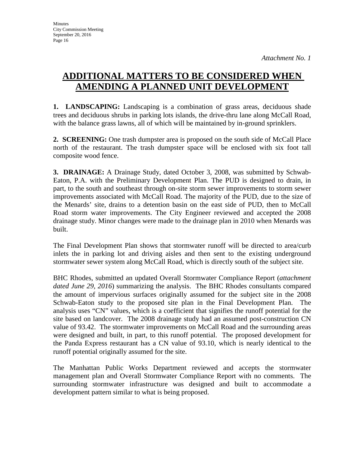# **ADDITIONAL MATTERS TO BE CONSIDERED WHEN AMENDING A PLANNED UNIT DEVELOPMENT**

**1. LANDSCAPING:** Landscaping is a combination of grass areas, deciduous shade trees and deciduous shrubs in parking lots islands, the drive-thru lane along McCall Road, with the balance grass lawns, all of which will be maintained by in-ground sprinklers.

**2. SCREENING:** One trash dumpster area is proposed on the south side of McCall Place north of the restaurant. The trash dumpster space will be enclosed with six foot tall composite wood fence.

**3. DRAINAGE:** A Drainage Study, dated October 3, 2008, was submitted by Schwab-Eaton, P.A. with the Preliminary Development Plan. The PUD is designed to drain, in part, to the south and southeast through on-site storm sewer improvements to storm sewer improvements associated with McCall Road. The majority of the PUD, due to the size of the Menards' site, drains to a detention basin on the east side of PUD, then to McCall Road storm water improvements. The City Engineer reviewed and accepted the 2008 drainage study. Minor changes were made to the drainage plan in 2010 when Menards was built.

The Final Development Plan shows that stormwater runoff will be directed to area/curb inlets the in parking lot and driving aisles and then sent to the existing underground stormwater sewer system along McCall Road, which is directly south of the subject site.

BHC Rhodes, submitted an updated Overall Stormwater Compliance Report (*attachment dated June 29, 2016*) summarizing the analysis. The BHC Rhodes consultants compared the amount of impervious surfaces originally assumed for the subject site in the 2008 Schwab-Eaton study to the proposed site plan in the Final Development Plan. analysis uses "CN" values, which is a coefficient that signifies the runoff potential for the site based on landcover. The 2008 drainage study had an assumed post-construction CN value of 93.42. The stormwater improvements on McCall Road and the surrounding areas were designed and built, in part, to this runoff potential. The proposed development for the Panda Express restaurant has a CN value of 93.10, which is nearly identical to the runoff potential originally assumed for the site.

The Manhattan Public Works Department reviewed and accepts the stormwater management plan and Overall Stormwater Compliance Report with no comments. The surrounding stormwater infrastructure was designed and built to accommodate a development pattern similar to what is being proposed.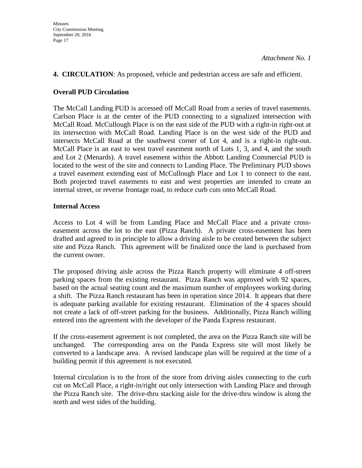# **4. CIRCULATION**: As proposed, vehicle and pedestrian access are safe and efficient.

# **Overall PUD Circulation**

The McCall Landing PUD is accessed off McCall Road from a series of travel easements. Carlson Place is at the center of the PUD connecting to a signalized intersection with McCall Road. McCullough Place is on the east side of the PUD with a right-in right-out at its intersection with McCall Road. Landing Place is on the west side of the PUD and intersects McCall Road at the southwest corner of Lot 4, and is a right-in right-out. McCall Place is an east to west travel easement north of Lots 1, 3, and 4, and the south and Lot 2 (Menards). A travel easement within the Abbott Landing Commercial PUD is located to the west of the site and connects to Landing Place. The Preliminary PUD shows a travel easement extending east of McCullough Place and Lot 1 to connect to the east. Both projected travel easements to east and west properties are intended to create an internal street, or reverse frontage road, to reduce curb cuts onto McCall Road.

# **Internal Access**

Access to Lot 4 will be from Landing Place and McCall Place and a private crosseasement across the lot to the east (Pizza Ranch). A private cross-easement has been drafted and agreed to in principle to allow a driving aisle to be created between the subject site and Pizza Ranch. This agreement will be finalized once the land is purchased from the current owner.

The proposed driving aisle across the Pizza Ranch property will eliminate 4 off-street parking spaces from the existing restaurant. Pizza Ranch was approved with 92 spaces, based on the actual seating count and the maximum number of employees working during a shift. The Pizza Ranch restaurant has been in operation since 2014. It appears that there is adequate parking available for existing restaurant. Elimination of the 4 spaces should not create a lack of off-street parking for the business. Additionally, Pizza Ranch willing entered into the agreement with the developer of the Panda Express restaurant.

If the cross-easement agreement is not completed, the area on the Pizza Ranch site will be unchanged. The corresponding area on the Panda Express site will most likely be converted to a landscape area. A revised landscape plan will be required at the time of a building permit if this agreement is not executed.

Internal circulation is to the front of the store from driving aisles connecting to the curb cut on McCall Place, a right-in/right out only intersection with Landing Place and through the Pizza Ranch site. The drive-thru stacking aisle for the drive-thru window is along the north and west sides of the building.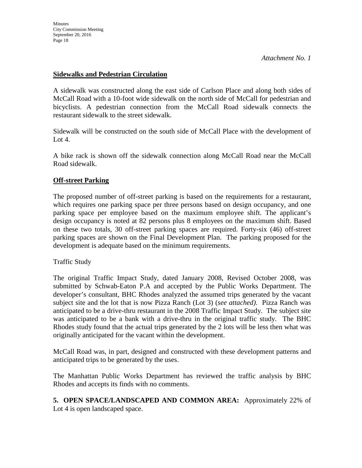# **Sidewalks and Pedestrian Circulation**

A sidewalk was constructed along the east side of Carlson Place and along both sides of McCall Road with a 10-foot wide sidewalk on the north side of McCall for pedestrian and bicyclists. A pedestrian connection from the McCall Road sidewalk connects the restaurant sidewalk to the street sidewalk.

Sidewalk will be constructed on the south side of McCall Place with the development of Lot 4.

A bike rack is shown off the sidewalk connection along McCall Road near the McCall Road sidewalk.

# **Off-street Parking**

The proposed number of off-street parking is based on the requirements for a restaurant, which requires one parking space per three persons based on design occupancy, and one parking space per employee based on the maximum employee shift. The applicant's design occupancy is noted at 82 persons plus 8 employees on the maximum shift. Based on these two totals, 30 off-street parking spaces are required. Forty-six (46) off-street parking spaces are shown on the Final Development Plan. The parking proposed for the development is adequate based on the minimum requirements.

# Traffic Study

The original Traffic Impact Study, dated January 2008, Revised October 2008, was submitted by Schwab-Eaton P.A and accepted by the Public Works Department. The developer's consultant, BHC Rhodes analyzed the assumed trips generated by the vacant subject site and the lot that is now Pizza Ranch (Lot 3) (*see attached)*. Pizza Ranch was anticipated to be a drive-thru restaurant in the 2008 Traffic Impact Study. The subject site was anticipated to be a bank with a drive-thru in the original traffic study. The BHC Rhodes study found that the actual trips generated by the 2 lots will be less then what was originally anticipated for the vacant within the development.

McCall Road was, in part, designed and constructed with these development patterns and anticipated trips to be generated by the uses.

The Manhattan Public Works Department has reviewed the traffic analysis by BHC Rhodes and accepts its finds with no comments.

**5. OPEN SPACE/LANDSCAPED AND COMMON AREA:** Approximately 22% of Lot 4 is open landscaped space.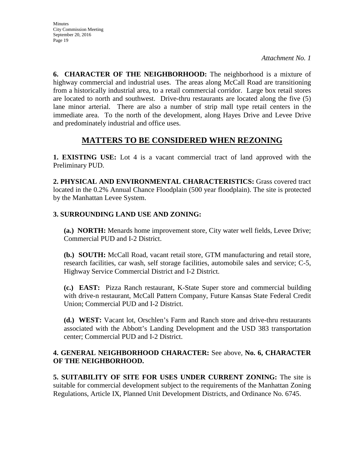**6. CHARACTER OF THE NEIGHBORHOOD:** The neighborhood is a mixture of highway commercial and industrial uses. The areas along McCall Road are transitioning from a historically industrial area, to a retail commercial corridor. Large box retail stores are located to north and southwest. Drive-thru restaurants are located along the five (5) lane minor arterial. There are also a number of strip mall type retail centers in the immediate area. To the north of the development, along Hayes Drive and Levee Drive and predominately industrial and office uses.

# **MATTERS TO BE CONSIDERED WHEN REZONING**

**1. EXISTING USE:** Lot 4 is a vacant commercial tract of land approved with the Preliminary PUD.

**2. PHYSICAL AND ENVIRONMENTAL CHARACTERISTICS:** Grass covered tract located in the 0.2% Annual Chance Floodplain (500 year floodplain). The site is protected by the Manhattan Levee System.

# **3. SURROUNDING LAND USE AND ZONING:**

**(a.) NORTH:** Menards home improvement store, City water well fields, Levee Drive; Commercial PUD and I-2 District.

**(b.) SOUTH:** McCall Road, vacant retail store, GTM manufacturing and retail store, research facilities, car wash, self storage facilities, automobile sales and service; C-5, Highway Service Commercial District and I-2 District.

**(c.) EAST:** Pizza Ranch restaurant, K-State Super store and commercial building with drive-n restaurant, McCall Pattern Company, Future Kansas State Federal Credit Union; Commercial PUD and I-2 District.

**(d.) WEST:** Vacant lot, Orschlen's Farm and Ranch store and drive-thru restaurants associated with the Abbott's Landing Development and the USD 383 transportation center; Commercial PUD and I-2 District.

# **4. GENERAL NEIGHBORHOOD CHARACTER:** See above, **No. 6, CHARACTER OF THE NEIGHBORHOOD.**

**5. SUITABILITY OF SITE FOR USES UNDER CURRENT ZONING:** The site is suitable for commercial development subject to the requirements of the Manhattan Zoning Regulations, Article IX, Planned Unit Development Districts, and Ordinance No. 6745.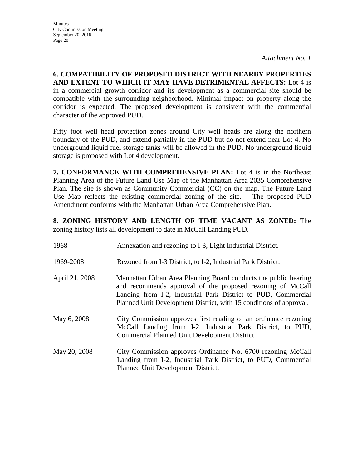**6. COMPATIBILITY OF PROPOSED DISTRICT WITH NEARBY PROPERTIES AND EXTENT TO WHICH IT MAY HAVE DETRIMENTAL AFFECTS:** Lot 4 is in a commercial growth corridor and its development as a commercial site should be compatible with the surrounding neighborhood. Minimal impact on property along the corridor is expected. The proposed development is consistent with the commercial character of the approved PUD.

Fifty foot well head protection zones around City well heads are along the northern boundary of the PUD, and extend partially in the PUD but do not extend near Lot 4. No underground liquid fuel storage tanks will be allowed in the PUD. No underground liquid storage is proposed with Lot 4 development.

**7. CONFORMANCE WITH COMPREHENSIVE PLAN:** Lot 4 is in the Northeast Planning Area of the Future Land Use Map of the Manhattan Area 2035 Comprehensive Plan. The site is shown as Community Commercial (CC) on the map. The Future Land Use Map reflects the existing commercial zoning of the site. The proposed PUD Amendment conforms with the Manhattan Urban Area Comprehensive Plan.

**8. ZONING HISTORY AND LENGTH OF TIME VACANT AS ZONED:** The zoning history lists all development to date in McCall Landing PUD.

| 1968           | Annexation and rezoning to I-3, Light Industrial District.                                                                                                                                                                                                           |
|----------------|----------------------------------------------------------------------------------------------------------------------------------------------------------------------------------------------------------------------------------------------------------------------|
| 1969-2008      | Rezoned from I-3 District, to I-2, Industrial Park District.                                                                                                                                                                                                         |
| April 21, 2008 | Manhattan Urban Area Planning Board conducts the public hearing<br>and recommends approval of the proposed rezoning of McCall<br>Landing from I-2, Industrial Park District to PUD, Commercial<br>Planned Unit Development District, with 15 conditions of approval. |
| May 6, 2008    | City Commission approves first reading of an ordinance rezoning<br>McCall Landing from I-2, Industrial Park District, to PUD,<br>Commercial Planned Unit Development District.                                                                                       |
| May 20, 2008   | City Commission approves Ordinance No. 6700 rezoning McCall<br>Landing from I-2, Industrial Park District, to PUD, Commercial<br>Planned Unit Development District.                                                                                                  |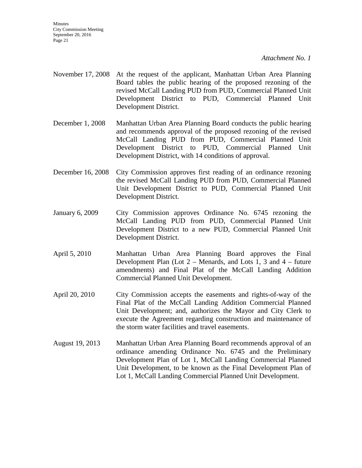- November 17, 2008 At the request of the applicant, Manhattan Urban Area Planning Board tables the public hearing of the proposed rezoning of the revised McCall Landing PUD from PUD, Commercial Planned Unit Development District to PUD, Commercial Planned Unit Development District.
- December 1, 2008 Manhattan Urban Area Planning Board conducts the public hearing and recommends approval of the proposed rezoning of the revised McCall Landing PUD from PUD, Commercial Planned Unit Development District to PUD, Commercial Planned Unit Development District, with 14 conditions of approval.
- December 16, 2008 City Commission approves first reading of an ordinance rezoning the revised McCall Landing PUD from PUD, Commercial Planned Unit Development District to PUD, Commercial Planned Unit Development District.
- January 6, 2009 City Commission approves Ordinance No. 6745 rezoning the McCall Landing PUD from PUD, Commercial Planned Unit Development District to a new PUD, Commercial Planned Unit Development District.
- April 5, 2010 Manhattan Urban Area Planning Board approves the Final Development Plan (Lot  $2 -$  Menards, and Lots 1, 3 and  $4 -$  future amendments) and Final Plat of the McCall Landing Addition Commercial Planned Unit Development.
- April 20, 2010 City Commission accepts the easements and rights-of-way of the Final Plat of the McCall Landing Addition Commercial Planned Unit Development; and, authorizes the Mayor and City Clerk to execute the Agreement regarding construction and maintenance of the storm water facilities and travel easements.
- August 19, 2013 Manhattan Urban Area Planning Board recommends approval of an ordinance amending Ordinance No. 6745 and the Preliminary Development Plan of Lot 1, McCall Landing Commercial Planned Unit Development, to be known as the Final Development Plan of Lot 1, McCall Landing Commercial Planned Unit Development.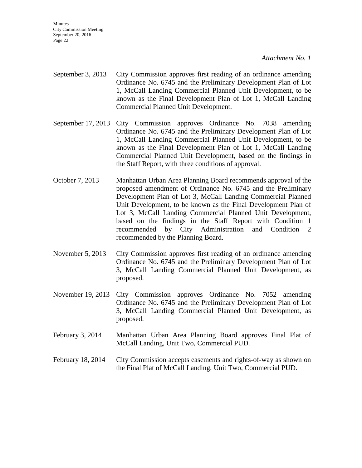**Minutes** City Commission Meeting September 20, 2016 Page 22

*Attachment No. 1*

- September 3, 2013 City Commission approves first reading of an ordinance amending Ordinance No. 6745 and the Preliminary Development Plan of Lot 1, McCall Landing Commercial Planned Unit Development, to be known as the Final Development Plan of Lot 1, McCall Landing Commercial Planned Unit Development.
- September 17, 2013 City Commission approves Ordinance No. 7038 amending Ordinance No. 6745 and the Preliminary Development Plan of Lot 1, McCall Landing Commercial Planned Unit Development, to be known as the Final Development Plan of Lot 1, McCall Landing Commercial Planned Unit Development, based on the findings in the Staff Report, with three conditions of approval.
- October 7, 2013 Manhattan Urban Area Planning Board recommends approval of the proposed amendment of Ordinance No. 6745 and the Preliminary Development Plan of Lot 3, McCall Landing Commercial Planned Unit Development, to be known as the Final Development Plan of Lot 3, McCall Landing Commercial Planned Unit Development, based on the findings in the Staff Report with Condition 1 recommended by City Administration and Condition 2 recommended by the Planning Board.
- November 5, 2013 City Commission approves first reading of an ordinance amending Ordinance No. 6745 and the Preliminary Development Plan of Lot 3, McCall Landing Commercial Planned Unit Development, as proposed.
- November 19, 2013 City Commission approves Ordinance No. 7052 amending Ordinance No. 6745 and the Preliminary Development Plan of Lot 3, McCall Landing Commercial Planned Unit Development, as proposed.
- February 3, 2014 Manhattan Urban Area Planning Board approves Final Plat of McCall Landing, Unit Two, Commercial PUD.
- February 18, 2014 City Commission accepts easements and rights-of-way as shown on the Final Plat of McCall Landing, Unit Two, Commercial PUD.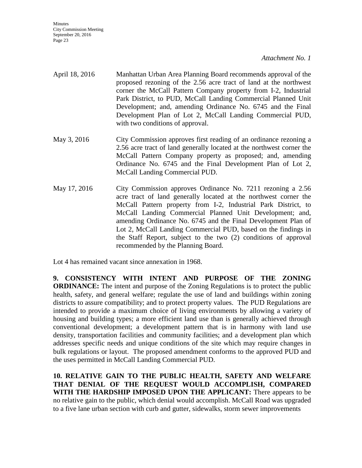- April 18, 2016 Manhattan Urban Area Planning Board recommends approval of the proposed rezoning of the 2.56 acre tract of land at the northwest corner the McCall Pattern Company property from I-2, Industrial Park District, to PUD, McCall Landing Commercial Planned Unit Development; and, amending Ordinance No. 6745 and the Final Development Plan of Lot 2, McCall Landing Commercial PUD, with two conditions of approval.
- May 3, 2016 City Commission approves first reading of an ordinance rezoning a 2.56 acre tract of land generally located at the northwest corner the McCall Pattern Company property as proposed; and, amending Ordinance No. 6745 and the Final Development Plan of Lot 2, McCall Landing Commercial PUD.
- May 17, 2016 City Commission approves Ordinance No. 7211 rezoning a 2.56 acre tract of land generally located at the northwest corner the McCall Pattern property from I-2, Industrial Park District, to McCall Landing Commercial Planned Unit Development; and, amending Ordinance No. 6745 and the Final Development Plan of Lot 2, McCall Landing Commercial PUD, based on the findings in the Staff Report, subject to the two (2) conditions of approval recommended by the Planning Board.

Lot 4 has remained vacant since annexation in 1968.

**9. CONSISTENCY WITH INTENT AND PURPOSE OF THE ZONING ORDINANCE:** The intent and purpose of the Zoning Regulations is to protect the public health, safety, and general welfare; regulate the use of land and buildings within zoning districts to assure compatibility; and to protect property values. The PUD Regulations are intended to provide a maximum choice of living environments by allowing a variety of housing and building types; a more efficient land use than is generally achieved through conventional development; a development pattern that is in harmony with land use density, transportation facilities and community facilities; and a development plan which addresses specific needs and unique conditions of the site which may require changes in bulk regulations or layout. The proposed amendment conforms to the approved PUD and the uses permitted in McCall Landing Commercial PUD.

**10. RELATIVE GAIN TO THE PUBLIC HEALTH, SAFETY AND WELFARE THAT DENIAL OF THE REQUEST WOULD ACCOMPLISH, COMPARED WITH THE HARDSHIP IMPOSED UPON THE APPLICANT:** There appears to be no relative gain to the public, which denial would accomplish. McCall Road was upgraded to a five lane urban section with curb and gutter, sidewalks, storm sewer improvements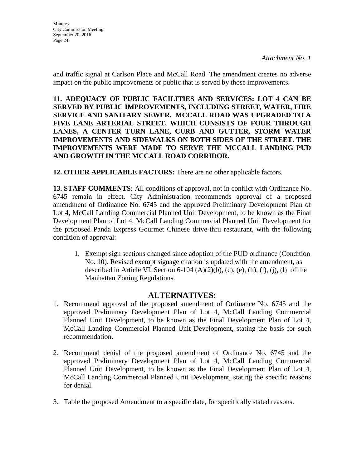**Minutes** City Commission Meeting September 20, 2016 Page 24

*Attachment No. 1*

and traffic signal at Carlson Place and McCall Road. The amendment creates no adverse impact on the public improvements or public that is served by those improvements.

**11. ADEQUACY OF PUBLIC FACILITIES AND SERVICES: LOT 4 CAN BE SERVED BY PUBLIC IMPROVEMENTS, INCLUDING STREET, WATER, FIRE SERVICE AND SANITARY SEWER. MCCALL ROAD WAS UPGRADED TO A FIVE LANE ARTERIAL STREET, WHICH CONSISTS OF FOUR THROUGH LANES, A CENTER TURN LANE, CURB AND GUTTER, STORM WATER IMPROVEMENTS AND SIDEWALKS ON BOTH SIDES OF THE STREET. THE IMPROVEMENTS WERE MADE TO SERVE THE MCCALL LANDING PUD AND GROWTH IN THE MCCALL ROAD CORRIDOR.**

**12. OTHER APPLICABLE FACTORS:** There are no other applicable factors.

**13. STAFF COMMENTS:** All conditions of approval, not in conflict with Ordinance No. 6745 remain in effect. City Administration recommends approval of a proposed amendment of Ordinance No. 6745 and the approved Preliminary Development Plan of Lot 4, McCall Landing Commercial Planned Unit Development, to be known as the Final Development Plan of Lot 4, McCall Landing Commercial Planned Unit Development for the proposed Panda Express Gourmet Chinese drive-thru restaurant, with the following condition of approval:

1. Exempt sign sections changed since adoption of the PUD ordinance (Condition No. 10). Revised exempt signage citation is updated with the amendment, as described in Article VI, Section 6-104  $(A)(2)(b)$ , (c), (e), (h), (i), (j), (l) of the Manhattan Zoning Regulations.

# **ALTERNATIVES:**

- 1. Recommend approval of the proposed amendment of Ordinance No. 6745 and the approved Preliminary Development Plan of Lot 4, McCall Landing Commercial Planned Unit Development, to be known as the Final Development Plan of Lot 4, McCall Landing Commercial Planned Unit Development, stating the basis for such recommendation.
- 2. Recommend denial of the proposed amendment of Ordinance No. 6745 and the approved Preliminary Development Plan of Lot 4, McCall Landing Commercial Planned Unit Development, to be known as the Final Development Plan of Lot 4, McCall Landing Commercial Planned Unit Development, stating the specific reasons for denial.
- 3. Table the proposed Amendment to a specific date, for specifically stated reasons.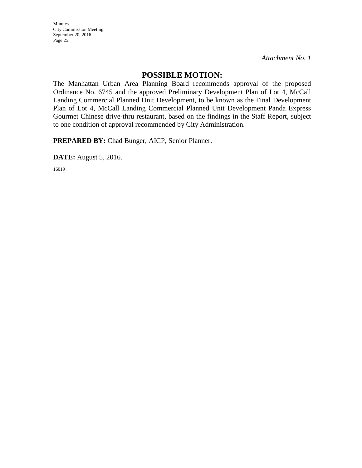Minutes City Commission Meeting September 20, 2016 Page 25

*Attachment No. 1*

# **POSSIBLE MOTION:**

The Manhattan Urban Area Planning Board recommends approval of the proposed Ordinance No. 6745 and the approved Preliminary Development Plan of Lot 4, McCall Landing Commercial Planned Unit Development, to be known as the Final Development Plan of Lot 4, McCall Landing Commercial Planned Unit Development Panda Express Gourmet Chinese drive-thru restaurant, based on the findings in the Staff Report, subject to one condition of approval recommended by City Administration.

**PREPARED BY:** Chad Bunger, AICP, Senior Planner.

**DATE:** August 5, 2016.

16019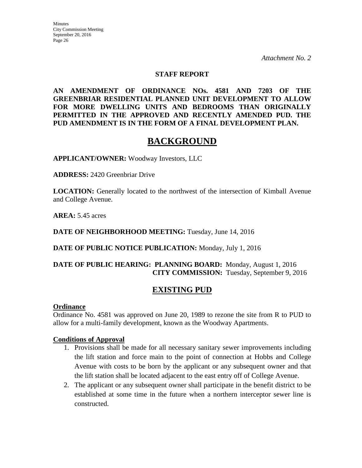### **STAFF REPORT**

**AN AMENDMENT OF ORDINANCE NOs. 4581 AND 7203 OF THE GREENBRIAR RESIDENTIAL PLANNED UNIT DEVELOPMENT TO ALLOW FOR MORE DWELLING UNITS AND BEDROOMS THAN ORIGINALLY PERMITTED IN THE APPROVED AND RECENTLY AMENDED PUD. THE PUD AMENDMENT IS IN THE FORM OF A FINAL DEVELOPMENT PLAN.**

# **BACKGROUND**

**APPLICANT/OWNER:** Woodway Investors, LLC

**ADDRESS:** 2420 Greenbriar Drive

**LOCATION:** Generally located to the northwest of the intersection of Kimball Avenue and College Avenue.

**AREA:** 5.45 acres

**DATE OF NEIGHBORHOOD MEETING:** Tuesday, June 14, 2016

**DATE OF PUBLIC NOTICE PUBLICATION:** Monday, July 1, 2016

# **DATE OF PUBLIC HEARING: PLANNING BOARD:** Monday, August 1, 2016 **CITY COMMISSION:** Tuesday, September 9, 2016

# **EXISTING PUD**

### **Ordinance**

Ordinance No. 4581 was approved on June 20, 1989 to rezone the site from R to PUD to allow for a multi-family development, known as the Woodway Apartments.

### **Conditions of Approval**

- 1. Provisions shall be made for all necessary sanitary sewer improvements including the lift station and force main to the point of connection at Hobbs and College Avenue with costs to be born by the applicant or any subsequent owner and that the lift station shall be located adjacent to the east entry off of College Avenue.
- 2. The applicant or any subsequent owner shall participate in the benefit district to be established at some time in the future when a northern interceptor sewer line is constructed.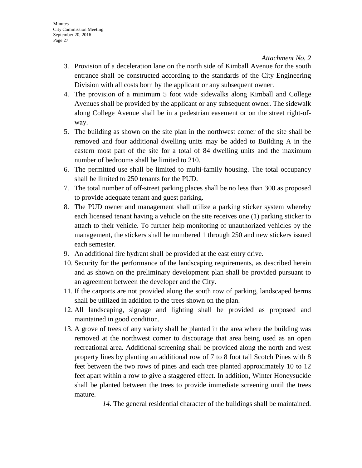- 3. Provision of a deceleration lane on the north side of Kimball Avenue for the south entrance shall be constructed according to the standards of the City Engineering Division with all costs born by the applicant or any subsequent owner.
- 4. The provision of a minimum 5 foot wide sidewalks along Kimball and College Avenues shall be provided by the applicant or any subsequent owner. The sidewalk along College Avenue shall be in a pedestrian easement or on the street right-ofway.
- 5. The building as shown on the site plan in the northwest corner of the site shall be removed and four additional dwelling units may be added to Building A in the eastern most part of the site for a total of 84 dwelling units and the maximum number of bedrooms shall be limited to 210.
- 6. The permitted use shall be limited to multi-family housing. The total occupancy shall be limited to 250 tenants for the PUD.
- 7. The total number of off-street parking places shall be no less than 300 as proposed to provide adequate tenant and guest parking.
- 8. The PUD owner and management shall utilize a parking sticker system whereby each licensed tenant having a vehicle on the site receives one (1) parking sticker to attach to their vehicle. To further help monitoring of unauthorized vehicles by the management, the stickers shall be numbered 1 through 250 and new stickers issued each semester.
- 9. An additional fire hydrant shall be provided at the east entry drive.
- 10. Security for the performance of the landscaping requirements, as described herein and as shown on the preliminary development plan shall be provided pursuant to an agreement between the developer and the City.
- 11. If the carports are not provided along the south row of parking, landscaped berms shall be utilized in addition to the trees shown on the plan.
- 12. All landscaping, signage and lighting shall be provided as proposed and maintained in good condition.
- 13. A grove of trees of any variety shall be planted in the area where the building was removed at the northwest corner to discourage that area being used as an open recreational area. Additional screening shall be provided along the north and west property lines by planting an additional row of 7 to 8 foot tall Scotch Pines with 8 feet between the two rows of pines and each tree planted approximately 10 to 12 feet apart within a row to give a staggered effect. In addition, Winter Honeysuckle shall be planted between the trees to provide immediate screening until the trees mature.

*14.* The general residential character of the buildings shall be maintained.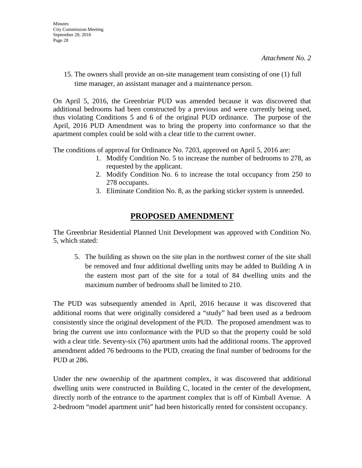15. The owners shall provide an on-site management team consisting of one (1) full time manager, an assistant manager and a maintenance person.

On April 5, 2016, the Greenbriar PUD was amended because it was discovered that additional bedrooms had been constructed by a previous and were currently being used, thus violating Conditions 5 and 6 of the original PUD ordinance. The purpose of the April, 2016 PUD Amendment was to bring the property into conformance so that the apartment complex could be sold with a clear title to the current owner.

The conditions of approval for Ordinance No. 7203, approved on April 5, 2016 are:

- 1. Modify Condition No. 5 to increase the number of bedrooms to 278, as requested by the applicant.
- 2. Modify Condition No. 6 to increase the total occupancy from 250 to 278 occupants.
- 3. Eliminate Condition No. 8, as the parking sticker system is unneeded.

# **PROPOSED AMENDMENT**

The Greenbriar Residential Planned Unit Development was approved with Condition No. 5, which stated:

5. The building as shown on the site plan in the northwest corner of the site shall be removed and four additional dwelling units may be added to Building A in the eastern most part of the site for a total of 84 dwelling units and the maximum number of bedrooms shall be limited to 210.

The PUD was subsequently amended in April, 2016 because it was discovered that additional rooms that were originally considered a "study" had been used as a bedroom consistently since the original development of the PUD. The proposed amendment was to bring the current use into conformance with the PUD so that the property could be sold with a clear title. Seventy-six (76) apartment units had the additional rooms. The approved amendment added 76 bedrooms to the PUD, creating the final number of bedrooms for the PUD at 286.

Under the new ownership of the apartment complex, it was discovered that additional dwelling units were constructed in Building C, located in the center of the development, directly north of the entrance to the apartment complex that is off of Kimball Avenue. A 2-bedroom "model apartment unit" had been historically rented for consistent occupancy.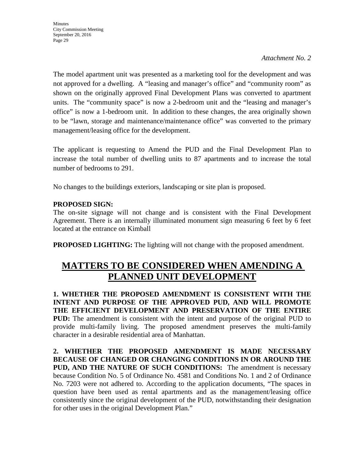The model apartment unit was presented as a marketing tool for the development and was not approved for a dwelling. A "leasing and manager's office" and "community room" as shown on the originally approved Final Development Plans was converted to apartment units. The "community space" is now a 2-bedroom unit and the "leasing and manager's office" is now a 1-bedroom unit. In addition to these changes, the area originally shown to be "lawn, storage and maintenance/maintenance office" was converted to the primary management/leasing office for the development.

The applicant is requesting to Amend the PUD and the Final Development Plan to increase the total number of dwelling units to 87 apartments and to increase the total number of bedrooms to 291.

No changes to the buildings exteriors, landscaping or site plan is proposed.

# **PROPOSED SIGN:**

The on-site signage will not change and is consistent with the Final Development Agreement. There is an internally illuminated monument sign measuring 6 feet by 6 feet located at the entrance on Kimball

**PROPOSED LIGHTING:** The lighting will not change with the proposed amendment.

# **MATTERS TO BE CONSIDERED WHEN AMENDING A PLANNED UNIT DEVELOPMENT**

**1. WHETHER THE PROPOSED AMENDMENT IS CONSISTENT WITH THE INTENT AND PURPOSE OF THE APPROVED PUD, AND WILL PROMOTE THE EFFICIENT DEVELOPMENT AND PRESERVATION OF THE ENTIRE PUD:** The amendment is consistent with the intent and purpose of the original PUD to provide multi-family living. The proposed amendment preserves the multi-family character in a desirable residential area of Manhattan.

**2. WHETHER THE PROPOSED AMENDMENT IS MADE NECESSARY BECAUSE OF CHANGED OR CHANGING CONDITIONS IN OR AROUND THE PUD, AND THE NATURE OF SUCH CONDITIONS:** The amendment is necessary because Condition No. 5 of Ordinance No. 4581 and Conditions No. 1 and 2 of Ordinance No. 7203 were not adhered to. According to the application documents, "The spaces in question have been used as rental apartments and as the management/leasing office consistently since the original development of the PUD, notwithstanding their designation for other uses in the original Development Plan."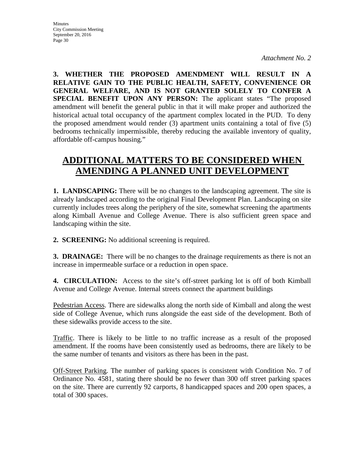**3. WHETHER THE PROPOSED AMENDMENT WILL RESULT IN A RELATIVE GAIN TO THE PUBLIC HEALTH, SAFETY, CONVENIENCE OR GENERAL WELFARE, AND IS NOT GRANTED SOLELY TO CONFER A SPECIAL BENEFIT UPON ANY PERSON:** The applicant states "The proposed amendment will benefit the general public in that it will make proper and authorized the historical actual total occupancy of the apartment complex located in the PUD. To deny the proposed amendment would render (3) apartment units containing a total of five (5) bedrooms technically impermissible, thereby reducing the available inventory of quality, affordable off-campus housing."

# **ADDITIONAL MATTERS TO BE CONSIDERED WHEN AMENDING A PLANNED UNIT DEVELOPMENT**

**1. LANDSCAPING:** There will be no changes to the landscaping agreement. The site is already landscaped according to the original Final Development Plan. Landscaping on site currently includes trees along the periphery of the site, somewhat screening the apartments along Kimball Avenue and College Avenue. There is also sufficient green space and landscaping within the site.

**2. SCREENING:** No additional screening is required.

**3. DRAINAGE:** There will be no changes to the drainage requirements as there is not an increase in impermeable surface or a reduction in open space.

**4. CIRCULATION:** Access to the site's off-street parking lot is off of both Kimball Avenue and College Avenue. Internal streets connect the apartment buildings

Pedestrian Access. There are sidewalks along the north side of Kimball and along the west side of College Avenue, which runs alongside the east side of the development. Both of these sidewalks provide access to the site.

Traffic. There is likely to be little to no traffic increase as a result of the proposed amendment. If the rooms have been consistently used as bedrooms, there are likely to be the same number of tenants and visitors as there has been in the past.

Off-Street Parking. The number of parking spaces is consistent with Condition No. 7 of Ordinance No. 4581, stating there should be no fewer than 300 off street parking spaces on the site. There are currently 92 carports, 8 handicapped spaces and 200 open spaces, a total of 300 spaces.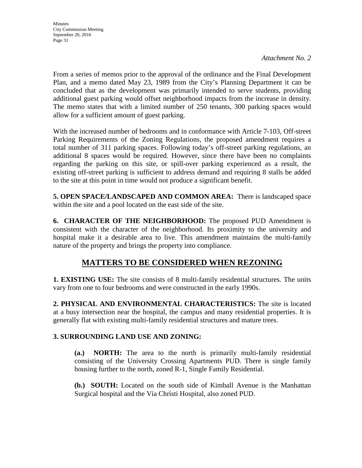From a series of memos prior to the approval of the ordinance and the Final Development Plan, and a memo dated May 23, 1989 from the City's Planning Department it can be concluded that as the development was primarily intended to serve students, providing additional guest parking would offset neighborhood impacts from the increase in density. The memo states that with a limited number of 250 tenants, 300 parking spaces would allow for a sufficient amount of guest parking.

With the increased number of bedrooms and in conformance with Article 7-103, Off-street Parking Requirements of the Zoning Regulations, the proposed amendment requires a total number of 311 parking spaces. Following today's off-street parking regulations, an additional 8 spaces would be required. However, since there have been no complaints regarding the parking on this site, or spill-over parking experienced as a result, the existing off-street parking is sufficient to address demand and requiring 8 stalls be added to the site at this point in time would not produce a significant benefit.

**5. OPEN SPACE/LANDSCAPED AND COMMON AREA:** There is landscaped space within the site and a pool located on the east side of the site.

**6. CHARACTER OF THE NEIGHBORHOOD:** The proposed PUD Amendment is consistent with the character of the neighborhood. Its proximity to the university and hospital make it a desirable area to live. This amendment maintains the multi-family nature of the property and brings the property into compliance.

# **MATTERS TO BE CONSIDERED WHEN REZONING**

**1. EXISTING USE:** The site consists of 8 multi-family residential structures. The units vary from one to four bedrooms and were constructed in the early 1990s.

**2. PHYSICAL AND ENVIRONMENTAL CHARACTERISTICS:** The site is located at a busy intersection near the hospital, the campus and many residential properties. It is generally flat with existing multi-family residential structures and mature trees.

# **3. SURROUNDING LAND USE AND ZONING:**

**(a.) NORTH:** The area to the north is primarily multi-family residential consisting of the University Crossing Apartments PUD. There is single family housing further to the north, zoned R-1, Single Family Residential.

**(b.) SOUTH:** Located on the south side of Kimball Avenue is the Manhattan Surgical hospital and the Via Christi Hospital, also zoned PUD.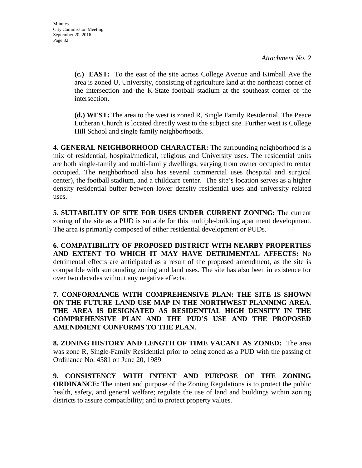**(c.) EAST:** To the east of the site across College Avenue and Kimball Ave the area is zoned U, University, consisting of agriculture land at the northeast corner of the intersection and the K-State football stadium at the southeast corner of the intersection.

**(d.) WEST:** The area to the west is zoned R, Single Family Residential. The Peace Lutheran Church is located directly west to the subject site. Further west is College Hill School and single family neighborhoods.

**4. GENERAL NEIGHBORHOOD CHARACTER:** The surrounding neighborhood is a mix of residential, hospital/medical, religious and University uses. The residential units are both single-family and multi-family dwellings, varying from owner occupied to renter occupied. The neighborhood also has several commercial uses (hospital and surgical center), the football stadium, and a childcare center. The site's location serves as a higher density residential buffer between lower density residential uses and university related uses.

**5. SUITABILITY OF SITE FOR USES UNDER CURRENT ZONING:** The current zoning of the site as a PUD is suitable for this multiple-building apartment development. The area is primarily composed of either residential development or PUDs.

**6. COMPATIBILITY OF PROPOSED DISTRICT WITH NEARBY PROPERTIES AND EXTENT TO WHICH IT MAY HAVE DETRIMENTAL AFFECTS:** No detrimental effects are anticipated as a result of the proposed amendment, as the site is compatible with surrounding zoning and land uses. The site has also been in existence for over two decades without any negative effects.

**7. CONFORMANCE WITH COMPREHENSIVE PLAN: THE SITE IS SHOWN ON THE FUTURE LAND USE MAP IN THE NORTHWEST PLANNING AREA. THE AREA IS DESIGNATED AS RESIDENTIAL HIGH DENSITY IN THE COMPREHENSIVE PLAN AND THE PUD'S USE AND THE PROPOSED AMENDMENT CONFORMS TO THE PLAN.**

**8. ZONING HISTORY AND LENGTH OF TIME VACANT AS ZONED:** The area was zone R, Single-Family Residential prior to being zoned as a PUD with the passing of Ordinance No. 4581 on June 20, 1989

**9. CONSISTENCY WITH INTENT AND PURPOSE OF THE ZONING ORDINANCE:** The intent and purpose of the Zoning Regulations is to protect the public health, safety, and general welfare; regulate the use of land and buildings within zoning districts to assure compatibility; and to protect property values.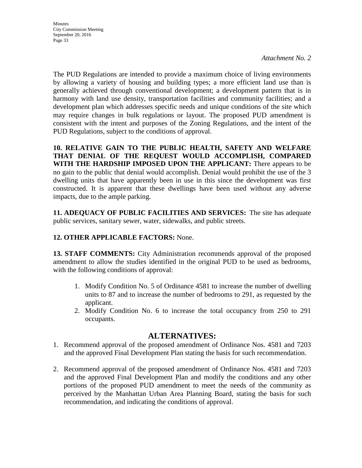The PUD Regulations are intended to provide a maximum choice of living environments by allowing a variety of housing and building types; a more efficient land use than is generally achieved through conventional development; a development pattern that is in harmony with land use density, transportation facilities and community facilities; and a development plan which addresses specific needs and unique conditions of the site which may require changes in bulk regulations or layout. The proposed PUD amendment is consistent with the intent and purposes of the Zoning Regulations, and the intent of the PUD Regulations, subject to the conditions of approval.

**10. RELATIVE GAIN TO THE PUBLIC HEALTH, SAFETY AND WELFARE THAT DENIAL OF THE REQUEST WOULD ACCOMPLISH, COMPARED WITH THE HARDSHIP IMPOSED UPON THE APPLICANT:** There appears to be no gain to the public that denial would accomplish. Denial would prohibit the use of the 3 dwelling units that have apparently been in use in this since the development was first constructed. It is apparent that these dwellings have been used without any adverse impacts, due to the ample parking.

**11. ADEQUACY OF PUBLIC FACILITIES AND SERVICES:** The site has adequate public services, sanitary sewer, water, sidewalks, and public streets.

# **12. OTHER APPLICABLE FACTORS:** None.

**13. STAFF COMMENTS:** City Administration recommends approval of the proposed amendment to allow the studies identified in the original PUD to be used as bedrooms, with the following conditions of approval:

- 1. Modify Condition No. 5 of Ordinance 4581 to increase the number of dwelling units to 87 and to increase the number of bedrooms to 291, as requested by the applicant.
- 2. Modify Condition No. 6 to increase the total occupancy from 250 to 291 occupants.

# **ALTERNATIVES:**

- 1. Recommend approval of the proposed amendment of Ordinance Nos. 4581 and 7203 and the approved Final Development Plan stating the basis for such recommendation.
- 2. Recommend approval of the proposed amendment of Ordinance Nos. 4581 and 7203 and the approved Final Development Plan and modify the conditions and any other portions of the proposed PUD amendment to meet the needs of the community as perceived by the Manhattan Urban Area Planning Board, stating the basis for such recommendation, and indicating the conditions of approval.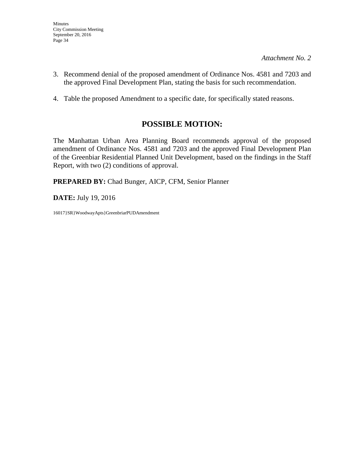- 3. Recommend denial of the proposed amendment of Ordinance Nos. 4581 and 7203 and the approved Final Development Plan, stating the basis for such recommendation.
- 4. Table the proposed Amendment to a specific date, for specifically stated reasons.

# **POSSIBLE MOTION:**

The Manhattan Urban Area Planning Board recommends approval of the proposed amendment of Ordinance Nos. 4581 and 7203 and the approved Final Development Plan of the Greenbiar Residential Planned Unit Development, based on the findings in the Staff Report, with two (2) conditions of approval.

**PREPARED BY:** Chad Bunger, AICP, CFM, Senior Planner

**DATE:** July 19, 2016

16017}SR}WoodwayApts}GreenbriarPUDAmendment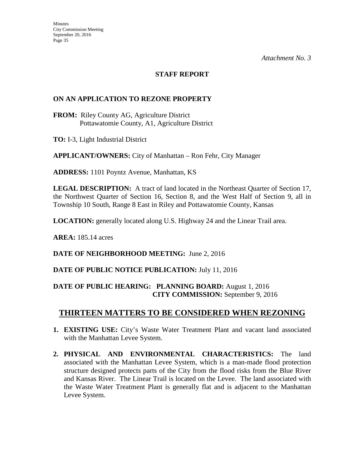## **STAFF REPORT**

## **ON AN APPLICATION TO REZONE PROPERTY**

**FROM:** Riley County AG, Agriculture District Pottawatomie County, A1, Agriculture District

**TO:** I-3, Light Industrial District

**APPLICANT/OWNERS:** City of Manhattan – Ron Fehr, City Manager

**ADDRESS:** 1101 Poyntz Avenue, Manhattan, KS

**LEGAL DESCRIPTION:** A tract of land located in the Northeast Quarter of Section 17, the Northwest Quarter of Section 16, Section 8, and the West Half of Section 9, all in Township 10 South, Range 8 East in Riley and Pottawatomie County, Kansas

**LOCATION:** generally located along U.S. Highway 24 and the Linear Trail area.

**AREA:** 185.14 acres

# **DATE OF NEIGHBORHOOD MEETING:** June 2, 2016

# **DATE OF PUBLIC NOTICE PUBLICATION:** July 11, 2016

## **DATE OF PUBLIC HEARING: PLANNING BOARD:** August 1, 2016 **CITY COMMISSION:** September 9, 2016

# **THIRTEEN MATTERS TO BE CONSIDERED WHEN REZONING**

- **1. EXISTING USE:** City's Waste Water Treatment Plant and vacant land associated with the Manhattan Levee System.
- **2. PHYSICAL AND ENVIRONMENTAL CHARACTERISTICS:** The land associated with the Manhattan Levee System, which is a man-made flood protection structure designed protects parts of the City from the flood risks from the Blue River and Kansas River. The Linear Trail is located on the Levee. The land associated with the Waste Water Treatment Plant is generally flat and is adjacent to the Manhattan Levee System.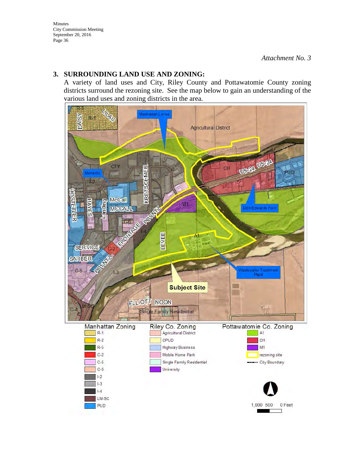# **3. SURROUNDING LAND USE AND ZONING:**

A variety of land uses and City, Riley County and Pottawatomie County zoning districts surround the rezoning site. See the map below to gain an understanding of the various land uses and zoning districts in the area.

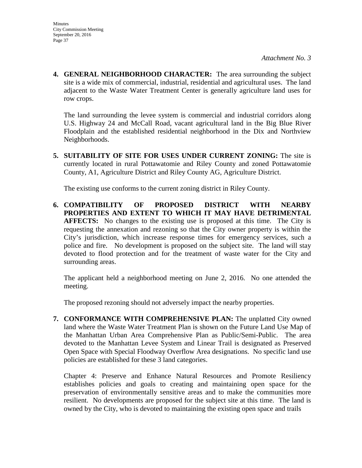**4. GENERAL NEIGHBORHOOD CHARACTER:** The area surrounding the subject site is a wide mix of commercial, industrial, residential and agricultural uses. The land adjacent to the Waste Water Treatment Center is generally agriculture land uses for row crops.

The land surrounding the levee system is commercial and industrial corridors along U.S. Highway 24 and McCall Road, vacant agricultural land in the Big Blue River Floodplain and the established residential neighborhood in the Dix and Northview Neighborhoods.

**5. SUITABILITY OF SITE FOR USES UNDER CURRENT ZONING:** The site is currently located in rural Pottawatomie and Riley County and zoned Pottawatomie County, A1, Agriculture District and Riley County AG, Agriculture District.

The existing use conforms to the current zoning district in Riley County.

**6. COMPATIBILITY OF PROPOSED DISTRICT WITH NEARBY PROPERTIES AND EXTENT TO WHICH IT MAY HAVE DETRIMENTAL AFFECTS:** No changes to the existing use is proposed at this time. The City is requesting the annexation and rezoning so that the City owner property is within the City's jurisdiction, which increase response times for emergency services, such a police and fire. No development is proposed on the subject site. The land will stay devoted to flood protection and for the treatment of waste water for the City and surrounding areas.

The applicant held a neighborhood meeting on June 2, 2016. No one attended the meeting.

The proposed rezoning should not adversely impact the nearby properties.

**7. CONFORMANCE WITH COMPREHENSIVE PLAN:** The unplatted City owned land where the Waste Water Treatment Plan is shown on the Future Land Use Map of the Manhattan Urban Area Comprehensive Plan as Public/Semi-Public. The area devoted to the Manhattan Levee System and Linear Trail is designated as Preserved Open Space with Special Floodway Overflow Area designations. No specific land use policies are established for these 3 land categories.

Chapter 4: Preserve and Enhance Natural Resources and Promote Resiliency establishes policies and goals to creating and maintaining open space for the preservation of environmentally sensitive areas and to make the communities more resilient. No developments are proposed for the subject site at this time. The land is owned by the City, who is devoted to maintaining the existing open space and trails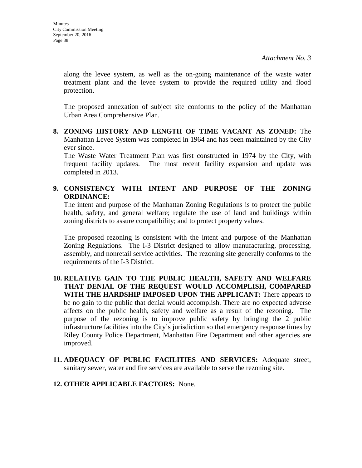along the levee system, as well as the on-going maintenance of the waste water treatment plant and the levee system to provide the required utility and flood protection.

The proposed annexation of subject site conforms to the policy of the Manhattan Urban Area Comprehensive Plan.

**8. ZONING HISTORY AND LENGTH OF TIME VACANT AS ZONED:** The Manhattan Levee System was completed in 1964 and has been maintained by the City ever since.

The Waste Water Treatment Plan was first constructed in 1974 by the City, with frequent facility updates. The most recent facility expansion and update was completed in 2013.

# **9. CONSISTENCY WITH INTENT AND PURPOSE OF THE ZONING ORDINANCE:**

The intent and purpose of the Manhattan Zoning Regulations is to protect the public health, safety, and general welfare; regulate the use of land and buildings within zoning districts to assure compatibility; and to protect property values.

The proposed rezoning is consistent with the intent and purpose of the Manhattan Zoning Regulations. The I-3 District designed to allow manufacturing, processing, assembly, and nonretail service activities. The rezoning site generally conforms to the requirements of the I-3 District.

- **10. RELATIVE GAIN TO THE PUBLIC HEALTH, SAFETY AND WELFARE THAT DENIAL OF THE REQUEST WOULD ACCOMPLISH, COMPARED WITH THE HARDSHIP IMPOSED UPON THE APPLICANT:** There appears to be no gain to the public that denial would accomplish. There are no expected adverse affects on the public health, safety and welfare as a result of the rezoning. The purpose of the rezoning is to improve public safety by bringing the 2 public infrastructure facilities into the City's jurisdiction so that emergency response times by Riley County Police Department, Manhattan Fire Department and other agencies are improved.
- **11. ADEQUACY OF PUBLIC FACILITIES AND SERVICES:** Adequate street, sanitary sewer, water and fire services are available to serve the rezoning site.
- **12. OTHER APPLICABLE FACTORS:** None.